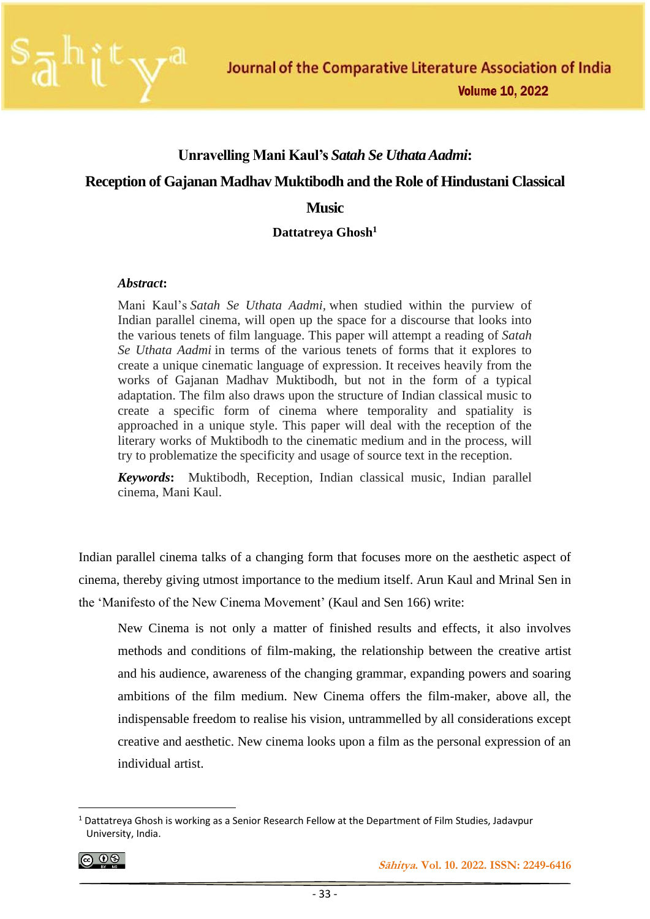

#### **Unravelling Mani Kaul's** *Satah Se Uthata Aadmi***:**

#### **Reception of Gajanan Madhav Muktibodh and the Role of Hindustani Classical**

#### **Music**

#### **Dattatreya Ghosh<sup>1</sup>**

#### *Abstract***:**

Mani Kaul's *Satah Se Uthata Aadmi,* when studied within the purview of Indian parallel cinema, will open up the space for a discourse that looks into the various tenets of film language. This paper will attempt a reading of *Satah Se Uthata Aadmi* in terms of the various tenets of forms that it explores to create a unique cinematic language of expression. It receives heavily from the works of Gajanan Madhav Muktibodh, but not in the form of a typical adaptation. The film also draws upon the structure of Indian classical music to create a specific form of cinema where temporality and spatiality is approached in a unique style. This paper will deal with the reception of the literary works of Muktibodh to the cinematic medium and in the process, will try to problematize the specificity and usage of source text in the reception.

*Keywords***:** Muktibodh, Reception, Indian classical music, Indian parallel cinema, Mani Kaul.

Indian parallel cinema talks of a changing form that focuses more on the aesthetic aspect of cinema, thereby giving utmost importance to the medium itself. Arun Kaul and Mrinal Sen in the 'Manifesto of the New Cinema Movement' (Kaul and Sen 166) write:

New Cinema is not only a matter of finished results and effects, it also involves methods and conditions of film-making, the relationship between the creative artist and his audience, awareness of the changing grammar, expanding powers and soaring ambitions of the film medium. New Cinema offers the film-maker, above all, the indispensable freedom to realise his vision, untrammelled by all considerations except creative and aesthetic. New cinema looks upon a film as the personal expression of an individual artist.

$$
\textcircled{\tiny{\textcircled{\#}}}
$$

<sup>1</sup> Dattatreya Ghosh is working as a Senior Research Fellow at the Department of Film Studies, Jadavpur University, India.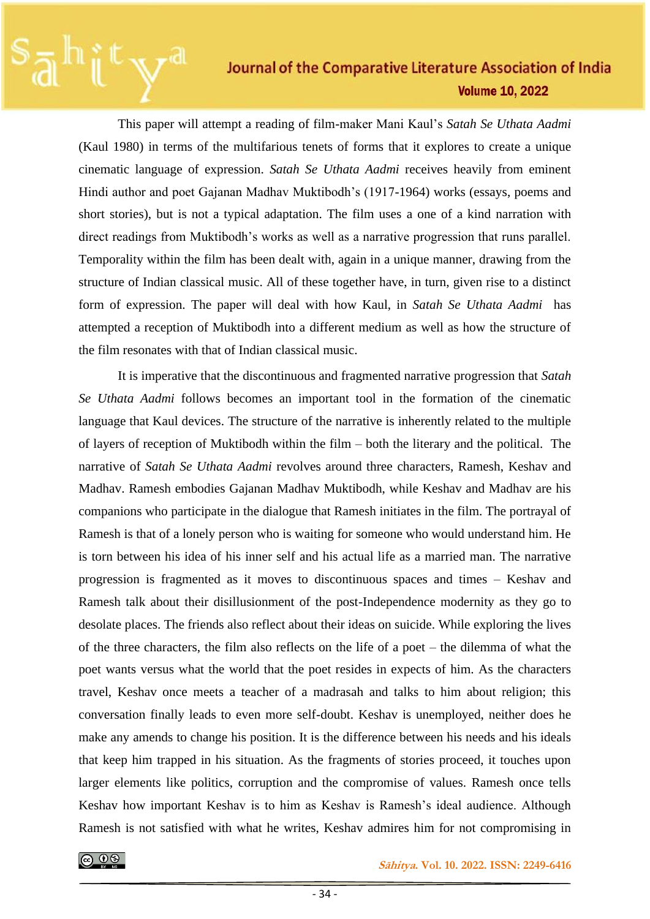This paper will attempt a reading of film-maker Mani Kaul's *Satah Se Uthata Aadmi* (Kaul 1980) in terms of the multifarious tenets of forms that it explores to create a unique cinematic language of expression. *Satah Se Uthata Aadmi* receives heavily from eminent Hindi author and poet Gajanan Madhav Muktibodh's (1917-1964) works (essays, poems and short stories), but is not a typical adaptation. The film uses a one of a kind narration with direct readings from Muktibodh's works as well as a narrative progression that runs parallel. Temporality within the film has been dealt with, again in a unique manner, drawing from the structure of Indian classical music. All of these together have, in turn, given rise to a distinct form of expression. The paper will deal with how Kaul, in *Satah Se Uthata Aadmi* has attempted a reception of Muktibodh into a different medium as well as how the structure of the film resonates with that of Indian classical music.

It is imperative that the discontinuous and fragmented narrative progression that *Satah Se Uthata Aadmi* follows becomes an important tool in the formation of the cinematic language that Kaul devices. The structure of the narrative is inherently related to the multiple of layers of reception of Muktibodh within the film – both the literary and the political. The narrative of *Satah Se Uthata Aadmi* revolves around three characters, Ramesh, Keshav and Madhav. Ramesh embodies Gajanan Madhav Muktibodh, while Keshav and Madhav are his companions who participate in the dialogue that Ramesh initiates in the film. The portrayal of Ramesh is that of a lonely person who is waiting for someone who would understand him. He is torn between his idea of his inner self and his actual life as a married man. The narrative progression is fragmented as it moves to discontinuous spaces and times – Keshav and Ramesh talk about their disillusionment of the post-Independence modernity as they go to desolate places. The friends also reflect about their ideas on suicide. While exploring the lives of the three characters, the film also reflects on the life of a poet – the dilemma of what the poet wants versus what the world that the poet resides in expects of him. As the characters travel, Keshav once meets a teacher of a madrasah and talks to him about religion; this conversation finally leads to even more self-doubt. Keshav is unemployed, neither does he make any amends to change his position. It is the difference between his needs and his ideals that keep him trapped in his situation. As the fragments of stories proceed, it touches upon larger elements like politics, corruption and the compromise of values. Ramesh once tells Keshav how important Keshav is to him as Keshav is Ramesh's ideal audience. Although Ramesh is not satisfied with what he writes, Keshav admires him for not compromising in

 **Sāhitya. Vol. 10. 2022. ISSN: 2249-6416**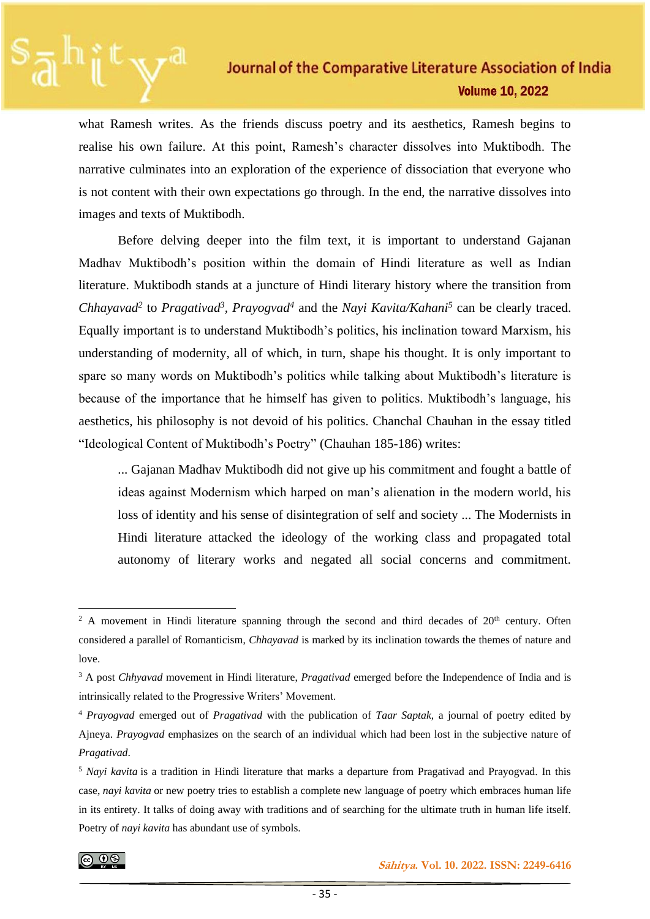what Ramesh writes. As the friends discuss poetry and its aesthetics, Ramesh begins to realise his own failure. At this point, Ramesh's character dissolves into Muktibodh. The narrative culminates into an exploration of the experience of dissociation that everyone who is not content with their own expectations go through. In the end, the narrative dissolves into images and texts of Muktibodh.

Before delving deeper into the film text, it is important to understand Gajanan Madhav Muktibodh's position within the domain of Hindi literature as well as Indian literature. Muktibodh stands at a juncture of Hindi literary history where the transition from *Chhayavad<sup>2</sup>* to *Pragativad<sup>3</sup> , Prayogvad<sup>4</sup>* and the *Nayi Kavita/Kahani<sup>5</sup>* can be clearly traced. Equally important is to understand Muktibodh's politics, his inclination toward Marxism, his understanding of modernity, all of which, in turn, shape his thought. It is only important to spare so many words on Muktibodh's politics while talking about Muktibodh's literature is because of the importance that he himself has given to politics. Muktibodh's language, his aesthetics, his philosophy is not devoid of his politics. Chanchal Chauhan in the essay titled "Ideological Content of Muktibodh's Poetry" (Chauhan 185-186) writes:

... Gajanan Madhav Muktibodh did not give up his commitment and fought a battle of ideas against Modernism which harped on man's alienation in the modern world, his loss of identity and his sense of disintegration of self and society ... The Modernists in Hindi literature attacked the ideology of the working class and propagated total autonomy of literary works and negated all social concerns and commitment.

<sup>&</sup>lt;sup>2</sup> A movement in Hindi literature spanning through the second and third decades of  $20<sup>th</sup>$  century. Often considered a parallel of Romanticism, *Chhayavad* is marked by its inclination towards the themes of nature and love.

<sup>3</sup> A post *Chhyavad* movement in Hindi literature, *Pragativad* emerged before the Independence of India and is intrinsically related to the Progressive Writers' Movement.

<sup>4</sup> *Prayogvad* emerged out of *Pragativad* with the publication of *Taar Saptak,* a journal of poetry edited by Ajneya. *Prayogvad* emphasizes on the search of an individual which had been lost in the subjective nature of *Pragativad*.

<sup>&</sup>lt;sup>5</sup> *Nayi kavita* is a tradition in Hindi literature that marks a departure from Pragativad and Prayogvad. In this case, *nayi kavita* or new poetry tries to establish a complete new language of poetry which embraces human life in its entirety. It talks of doing away with traditions and of searching for the ultimate truth in human life itself. Poetry of *nayi kavita* has abundant use of symbols.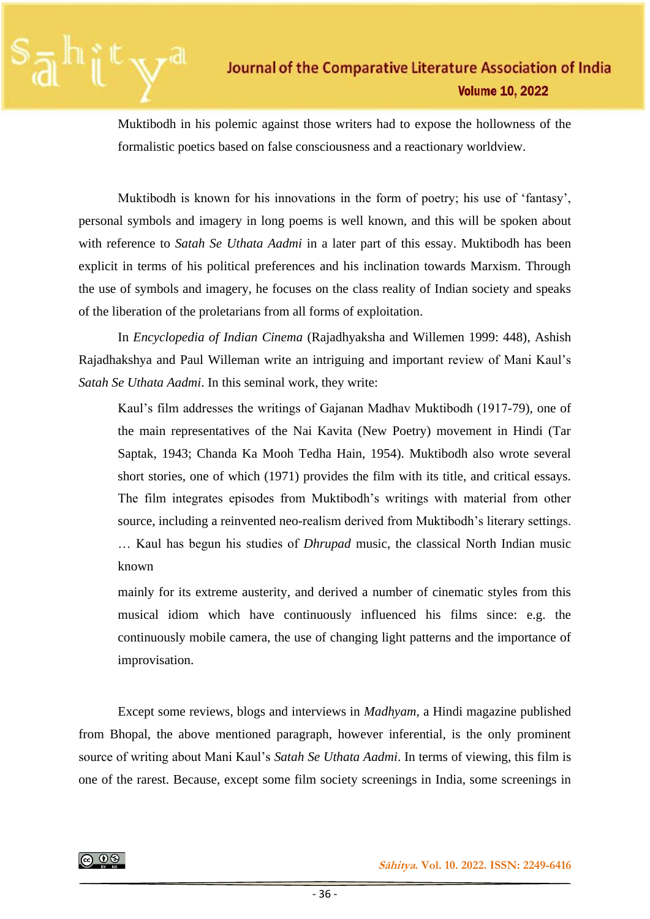

Muktibodh in his polemic against those writers had to expose the hollowness of the formalistic poetics based on false consciousness and a reactionary worldview.

Muktibodh is known for his innovations in the form of poetry; his use of 'fantasy', personal symbols and imagery in long poems is well known, and this will be spoken about with reference to *Satah Se Uthata Aadmi* in a later part of this essay. Muktibodh has been explicit in terms of his political preferences and his inclination towards Marxism. Through the use of symbols and imagery, he focuses on the class reality of Indian society and speaks of the liberation of the proletarians from all forms of exploitation.

In *Encyclopedia of Indian Cinema* (Rajadhyaksha and Willemen 1999: 448), Ashish Rajadhakshya and Paul Willeman write an intriguing and important review of Mani Kaul's *Satah Se Uthata Aadmi*. In this seminal work, they write:

Kaul's film addresses the writings of Gajanan Madhav Muktibodh (1917-79), one of the main representatives of the Nai Kavita (New Poetry) movement in Hindi (Tar Saptak, 1943; Chanda Ka Mooh Tedha Hain, 1954). Muktibodh also wrote several short stories, one of which (1971) provides the film with its title, and critical essays. The film integrates episodes from Muktibodh's writings with material from other source, including a reinvented neo-realism derived from Muktibodh's literary settings. … Kaul has begun his studies of *Dhrupad* music, the classical North Indian music known

mainly for its extreme austerity, and derived a number of cinematic styles from this musical idiom which have continuously influenced his films since: e.g. the continuously mobile camera, the use of changing light patterns and the importance of improvisation.

Except some reviews, blogs and interviews in *Madhyam,* a Hindi magazine published from Bhopal, the above mentioned paragraph, however inferential, is the only prominent source of writing about Mani Kaul's *Satah Se Uthata Aadmi*. In terms of viewing, this film is one of the rarest. Because, except some film society screenings in India, some screenings in

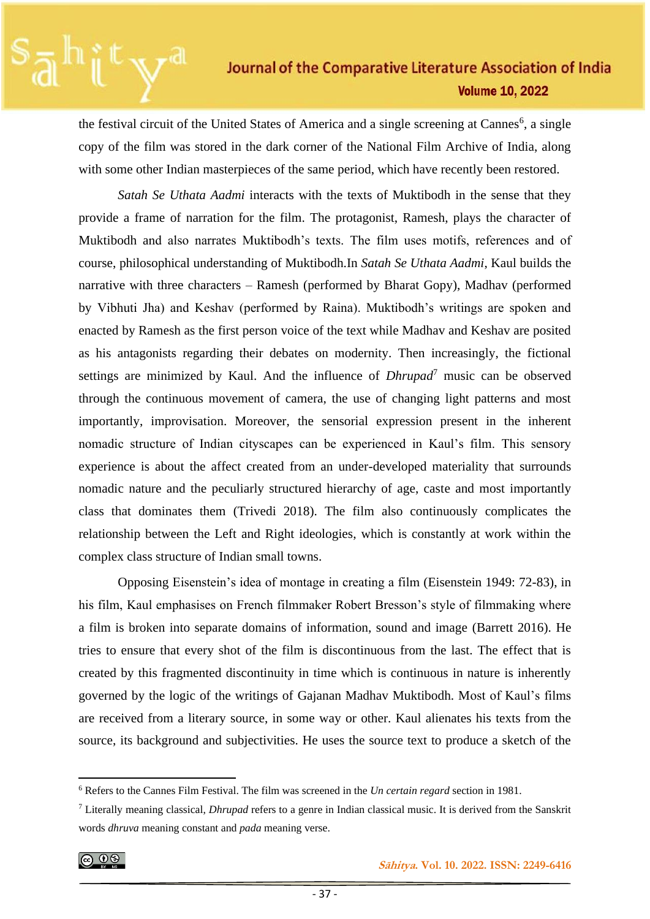the festival circuit of the United States of America and a single screening at Cannes<sup>6</sup>, a single copy of the film was stored in the dark corner of the National Film Archive of India, along with some other Indian masterpieces of the same period, which have recently been restored.

*Satah Se Uthata Aadmi* interacts with the texts of Muktibodh in the sense that they provide a frame of narration for the film. The protagonist, Ramesh, plays the character of Muktibodh and also narrates Muktibodh's texts. The film uses motifs, references and of course, philosophical understanding of Muktibodh.In *Satah Se Uthata Aadmi*, Kaul builds the narrative with three characters – Ramesh (performed by Bharat Gopy), Madhav (performed by Vibhuti Jha) and Keshav (performed by Raina). Muktibodh's writings are spoken and enacted by Ramesh as the first person voice of the text while Madhav and Keshav are posited as his antagonists regarding their debates on modernity. Then increasingly, the fictional settings are minimized by Kaul. And the influence of *Dhrupad*<sup>7</sup> music can be observed through the continuous movement of camera, the use of changing light patterns and most importantly, improvisation. Moreover, the sensorial expression present in the inherent nomadic structure of Indian cityscapes can be experienced in Kaul's film. This sensory experience is about the affect created from an under-developed materiality that surrounds nomadic nature and the peculiarly structured hierarchy of age, caste and most importantly class that dominates them (Trivedi 2018). The film also continuously complicates the relationship between the Left and Right ideologies, which is constantly at work within the complex class structure of Indian small towns.

Opposing Eisenstein's idea of montage in creating a film (Eisenstein 1949: 72-83), in his film, Kaul emphasises on French filmmaker Robert Bresson's style of filmmaking where a film is broken into separate domains of information, sound and image (Barrett 2016). He tries to ensure that every shot of the film is discontinuous from the last. The effect that is created by this fragmented discontinuity in time which is continuous in nature is inherently governed by the logic of the writings of Gajanan Madhav Muktibodh. Most of Kaul's films are received from a literary source, in some way or other. Kaul alienates his texts from the source, its background and subjectivities. He uses the source text to produce a sketch of the

$$
\textcircled{\tiny{\textcircled{\#}}}
$$

<sup>6</sup> Refers to the Cannes Film Festival. The film was screened in the *Un certain regard* section in 1981.

<sup>7</sup> Literally meaning classical, *Dhrupad* refers to a genre in Indian classical music. It is derived from the Sanskrit words *dhruva* meaning constant and *pada* meaning verse.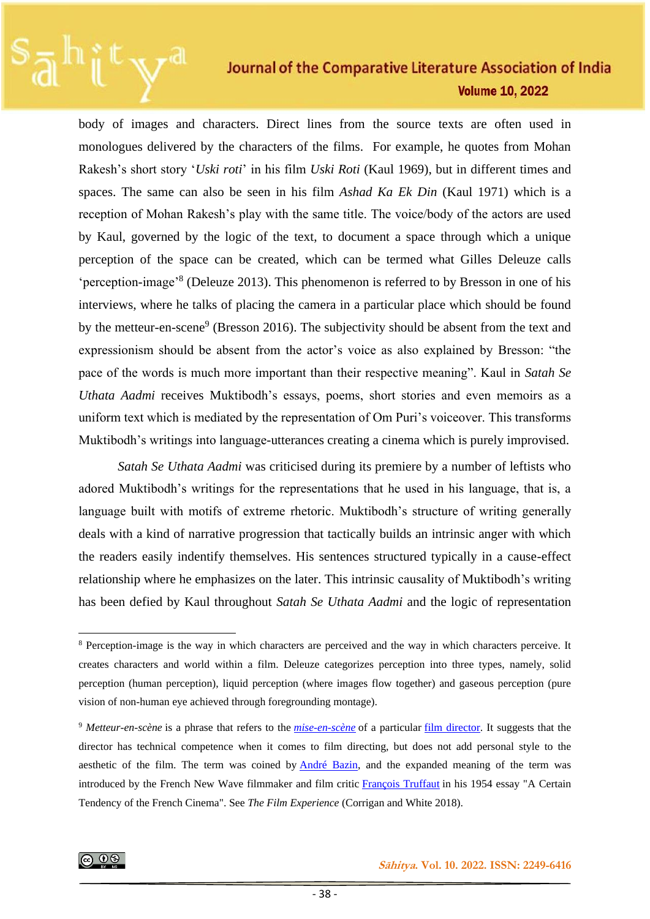body of images and characters. Direct lines from the source texts are often used in monologues delivered by the characters of the films. For example, he quotes from Mohan Rakesh's short story '*Uski roti*' in his film *Uski Roti* (Kaul 1969), but in different times and spaces. The same can also be seen in his film *Ashad Ka Ek Din* (Kaul 1971) which is a reception of Mohan Rakesh's play with the same title. The voice/body of the actors are used by Kaul, governed by the logic of the text, to document a space through which a unique perception of the space can be created, which can be termed what Gilles Deleuze calls 'perception-image'<sup>8</sup> (Deleuze 2013). This phenomenon is referred to by Bresson in one of his interviews, where he talks of placing the camera in a particular place which should be found by the metteur-en-scene<sup>9</sup> (Bresson 2016). The subjectivity should be absent from the text and expressionism should be absent from the actor's voice as also explained by Bresson: "the pace of the words is much more important than their respective meaning". Kaul in *Satah Se Uthata Aadmi* receives Muktibodh's essays, poems, short stories and even memoirs as a uniform text which is mediated by the representation of Om Puri's voiceover. This transforms Muktibodh's writings into language-utterances creating a cinema which is purely improvised.

*Satah Se Uthata Aadmi* was criticised during its premiere by a number of leftists who adored Muktibodh's writings for the representations that he used in his language, that is, a language built with motifs of extreme rhetoric. Muktibodh's structure of writing generally deals with a kind of narrative progression that tactically builds an intrinsic anger with which the readers easily indentify themselves. His sentences structured typically in a cause-effect relationship where he emphasizes on the later. This intrinsic causality of Muktibodh's writing has been defied by Kaul throughout *Satah Se Uthata Aadmi* and the logic of representation

<sup>8</sup> Perception-image is the way in which characters are perceived and the way in which characters perceive. It creates characters and world within a film. Deleuze categorizes perception into three types, namely, solid perception (human perception), liquid perception (where images flow together) and gaseous perception (pure vision of non-human eye achieved through foregrounding montage).

<sup>9</sup> *Metteur-en-scène* is a phrase that refers to the *[mise-en-scène](https://en.wikipedia.org/wiki/Mise_en_sc%C3%A8ne)* of a particular [film director.](https://en.wikipedia.org/wiki/Film_director) It suggests that the director has technical competence when it comes to film directing, but does not add personal style to the aesthetic of the film. The term was coined by [André Bazin,](https://en.wikipedia.org/wiki/Andr%C3%A9_Bazin) and the expanded meaning of the term was introduced by the French New Wave filmmaker and film critic [François Truffaut](https://en.wikipedia.org/wiki/Fran%C3%A7ois_Truffaut) in his 1954 essay "A Certain Tendency of the French Cinema". See *The Film Experience* (Corrigan and White 2018).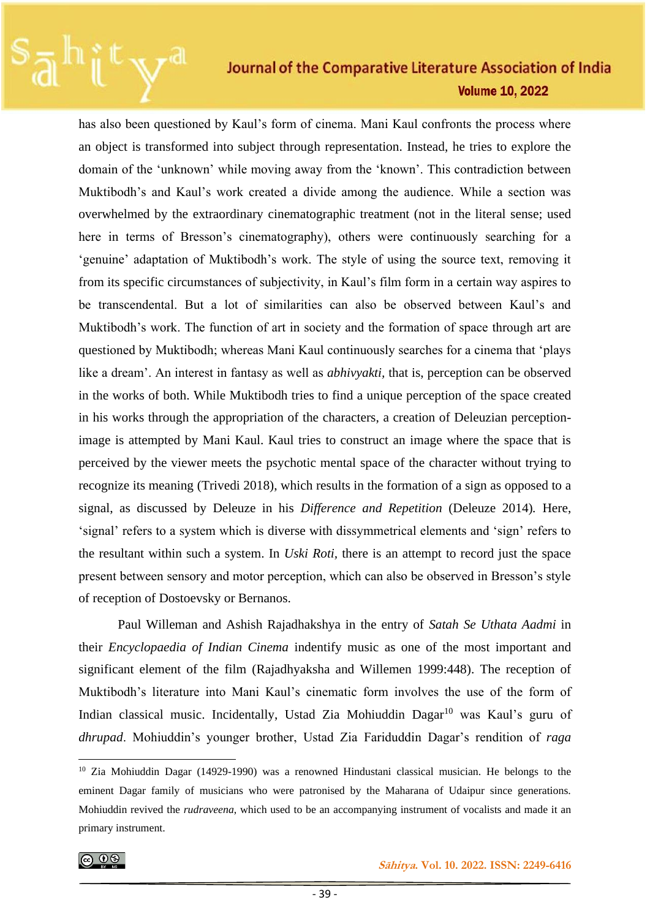has also been questioned by Kaul's form of cinema. Mani Kaul confronts the process where an object is transformed into subject through representation. Instead, he tries to explore the domain of the 'unknown' while moving away from the 'known'. This contradiction between Muktibodh's and Kaul's work created a divide among the audience. While a section was overwhelmed by the extraordinary cinematographic treatment (not in the literal sense; used here in terms of Bresson's cinematography), others were continuously searching for a 'genuine' adaptation of Muktibodh's work. The style of using the source text, removing it from its specific circumstances of subjectivity, in Kaul's film form in a certain way aspires to be transcendental. But a lot of similarities can also be observed between Kaul's and Muktibodh's work. The function of art in society and the formation of space through art are questioned by Muktibodh; whereas Mani Kaul continuously searches for a cinema that 'plays like a dream'. An interest in fantasy as well as *abhivyakti,* that is, perception can be observed in the works of both. While Muktibodh tries to find a unique perception of the space created in his works through the appropriation of the characters, a creation of Deleuzian perceptionimage is attempted by Mani Kaul. Kaul tries to construct an image where the space that is perceived by the viewer meets the psychotic mental space of the character without trying to recognize its meaning (Trivedi 2018), which results in the formation of a sign as opposed to a signal, as discussed by Deleuze in his *Difference and Repetition* (Deleuze 2014)*.* Here, 'signal' refers to a system which is diverse with dissymmetrical elements and 'sign' refers to the resultant within such a system. In *Uski Roti,* there is an attempt to record just the space present between sensory and motor perception, which can also be observed in Bresson's style of reception of Dostoevsky or Bernanos.

Paul Willeman and Ashish Rajadhakshya in the entry of *Satah Se Uthata Aadmi* in their *Encyclopaedia of Indian Cinema* indentify music as one of the most important and significant element of the film (Rajadhyaksha and Willemen 1999:448). The reception of Muktibodh's literature into Mani Kaul's cinematic form involves the use of the form of Indian classical music. Incidentally, Ustad Zia Mohiuddin Dagar<sup>10</sup> was Kaul's guru of *dhrupad*. Mohiuddin's younger brother, Ustad Zia Fariduddin Dagar's rendition of *raga*

<sup>10</sup> Zia Mohiuddin Dagar (14929-1990) was a renowned Hindustani classical musician. He belongs to the eminent Dagar family of musicians who were patronised by the Maharana of Udaipur since generations. Mohiuddin revived the *rudraveena*, which used to be an accompanying instrument of vocalists and made it an primary instrument.

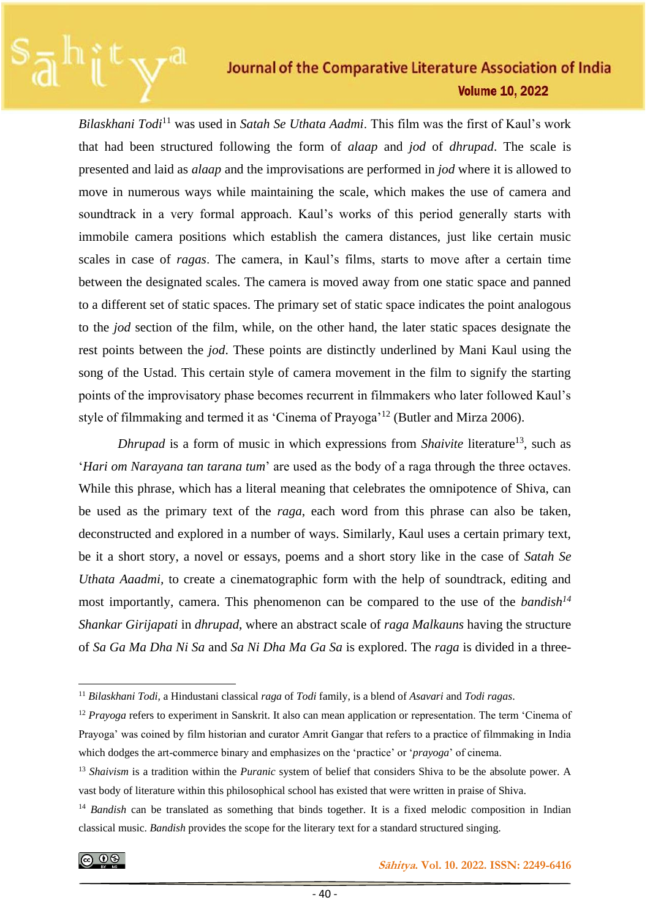*Bilaskhani Todi*<sup>11</sup> was used in *Satah Se Uthata Aadmi*. This film was the first of Kaul's work that had been structured following the form of *alaap* and *jod* of *dhrupad*. The scale is presented and laid as *alaap* and the improvisations are performed in *jod* where it is allowed to move in numerous ways while maintaining the scale, which makes the use of camera and soundtrack in a very formal approach. Kaul's works of this period generally starts with immobile camera positions which establish the camera distances, just like certain music scales in case of *ragas*. The camera, in Kaul's films, starts to move after a certain time between the designated scales. The camera is moved away from one static space and panned to a different set of static spaces. The primary set of static space indicates the point analogous to the *jod* section of the film, while, on the other hand, the later static spaces designate the rest points between the *jod*. These points are distinctly underlined by Mani Kaul using the song of the Ustad. This certain style of camera movement in the film to signify the starting points of the improvisatory phase becomes recurrent in filmmakers who later followed Kaul's style of filmmaking and termed it as 'Cinema of Prayoga'<sup>12</sup> (Butler and Mirza 2006).

*Dhrupad* is a form of music in which expressions from *Shaivite* literature<sup>13</sup>, such as '*Hari om Narayana tan tarana tum*' are used as the body of a raga through the three octaves. While this phrase, which has a literal meaning that celebrates the omnipotence of Shiva, can be used as the primary text of the *raga*, each word from this phrase can also be taken, deconstructed and explored in a number of ways. Similarly, Kaul uses a certain primary text, be it a short story, a novel or essays, poems and a short story like in the case of *Satah Se Uthata Aaadmi,* to create a cinematographic form with the help of soundtrack, editing and most importantly, camera. This phenomenon can be compared to the use of the *bandish<sup>14</sup> Shankar Girijapati* in *dhrupad*, where an abstract scale of *raga Malkauns* having the structure of *Sa Ga Ma Dha Ni Sa* and *Sa Ni Dha Ma Ga Sa* is explored. The *raga* is divided in a three-

<sup>11</sup> *Bilaskhani Todi,* a Hindustani classical *raga* of *Todi* family, is a blend of *Asavari* and *Todi ragas*.

<sup>12</sup> *Prayoga* refers to experiment in Sanskrit. It also can mean application or representation. The term 'Cinema of Prayoga' was coined by film historian and curator Amrit Gangar that refers to a practice of filmmaking in India which dodges the art-commerce binary and emphasizes on the 'practice' or '*prayoga*' of cinema.

<sup>13</sup> *Shaivism* is a tradition within the *Puranic* system of belief that considers Shiva to be the absolute power. A vast body of literature within this philosophical school has existed that were written in praise of Shiva.

<sup>&</sup>lt;sup>14</sup> *Bandish* can be translated as something that binds together. It is a fixed melodic composition in Indian classical music. *Bandish* provides the scope for the literary text for a standard structured singing.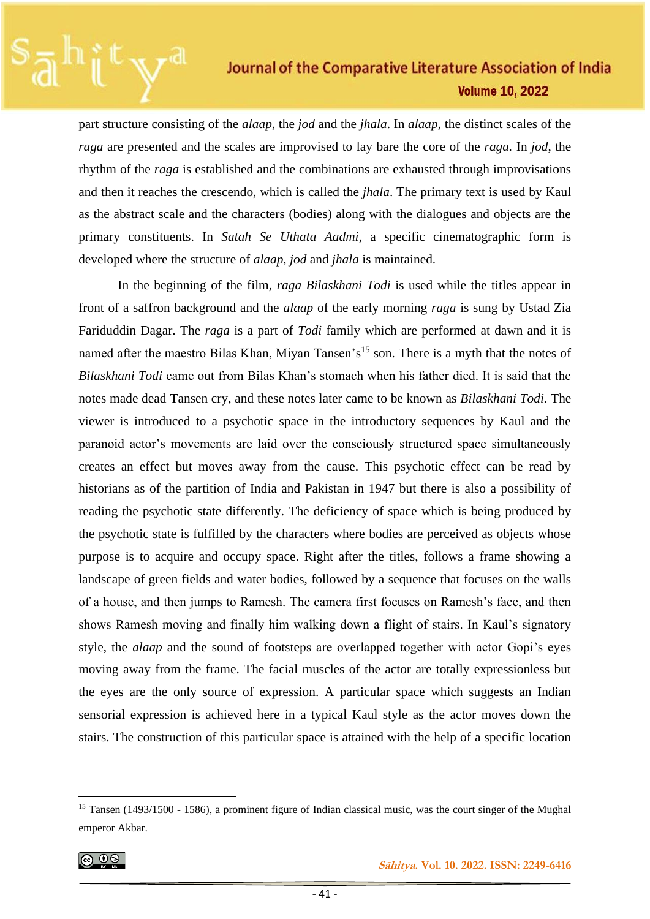part structure consisting of the *alaap*, the *jod* and the *jhala*. In *alaap*, the distinct scales of the *raga* are presented and the scales are improvised to lay bare the core of the *raga.* In *jod*, the rhythm of the *raga* is established and the combinations are exhausted through improvisations and then it reaches the crescendo, which is called the *jhala*. The primary text is used by Kaul as the abstract scale and the characters (bodies) along with the dialogues and objects are the primary constituents. In *Satah Se Uthata Aadmi*, a specific cinematographic form is developed where the structure of *alaap, jod* and *jhala* is maintained.

In the beginning of the film, *raga Bilaskhani Todi* is used while the titles appear in front of a saffron background and the *alaap* of the early morning *raga* is sung by Ustad Zia Fariduddin Dagar. The *raga* is a part of *Todi* family which are performed at dawn and it is named after the maestro Bilas Khan, Miyan Tansen's<sup>15</sup> son. There is a myth that the notes of *Bilaskhani Todi* came out from Bilas Khan's stomach when his father died. It is said that the notes made dead Tansen cry, and these notes later came to be known as *Bilaskhani Todi.* The viewer is introduced to a psychotic space in the introductory sequences by Kaul and the paranoid actor's movements are laid over the consciously structured space simultaneously creates an effect but moves away from the cause. This psychotic effect can be read by historians as of the partition of India and Pakistan in 1947 but there is also a possibility of reading the psychotic state differently. The deficiency of space which is being produced by the psychotic state is fulfilled by the characters where bodies are perceived as objects whose purpose is to acquire and occupy space. Right after the titles, follows a frame showing a landscape of green fields and water bodies, followed by a sequence that focuses on the walls of a house, and then jumps to Ramesh. The camera first focuses on Ramesh's face, and then shows Ramesh moving and finally him walking down a flight of stairs. In Kaul's signatory style, the *alaap* and the sound of footsteps are overlapped together with actor Gopi's eyes moving away from the frame. The facial muscles of the actor are totally expressionless but the eyes are the only source of expression. A particular space which suggests an Indian sensorial expression is achieved here in a typical Kaul style as the actor moves down the stairs. The construction of this particular space is attained with the help of a specific location

$$
\textcircled{\tiny{\textcircled{\#}}}
$$

<sup>&</sup>lt;sup>15</sup> Tansen (1493/1500 - 1586), a prominent figure of Indian classical music, was the court singer of the Mughal emperor Akbar.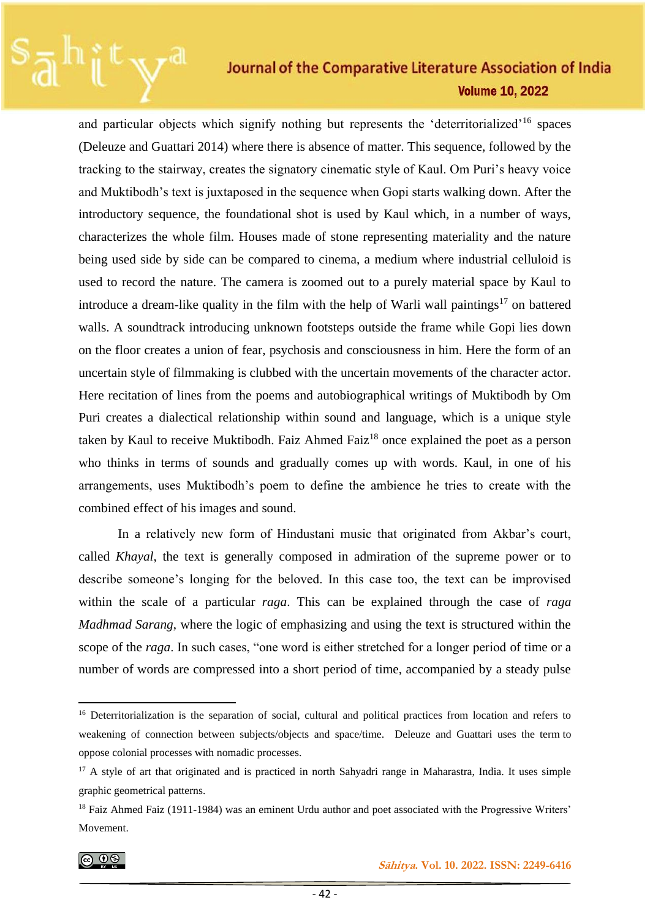and particular objects which signify nothing but represents the 'deterritorialized'<sup>16</sup> spaces (Deleuze and Guattari 2014) where there is absence of matter. This sequence, followed by the tracking to the stairway, creates the signatory cinematic style of Kaul. Om Puri's heavy voice and Muktibodh's text is juxtaposed in the sequence when Gopi starts walking down. After the introductory sequence, the foundational shot is used by Kaul which, in a number of ways, characterizes the whole film. Houses made of stone representing materiality and the nature being used side by side can be compared to cinema, a medium where industrial celluloid is used to record the nature. The camera is zoomed out to a purely material space by Kaul to introduce a dream-like quality in the film with the help of Warli wall paintings<sup>17</sup> on battered walls. A soundtrack introducing unknown footsteps outside the frame while Gopi lies down on the floor creates a union of fear, psychosis and consciousness in him. Here the form of an uncertain style of filmmaking is clubbed with the uncertain movements of the character actor. Here recitation of lines from the poems and autobiographical writings of Muktibodh by Om Puri creates a dialectical relationship within sound and language, which is a unique style taken by Kaul to receive Muktibodh. Faiz Ahmed Faiz<sup>18</sup> once explained the poet as a person who thinks in terms of sounds and gradually comes up with words. Kaul, in one of his arrangements, uses Muktibodh's poem to define the ambience he tries to create with the combined effect of his images and sound.

In a relatively new form of Hindustani music that originated from Akbar's court, called *Khayal*, the text is generally composed in admiration of the supreme power or to describe someone's longing for the beloved. In this case too, the text can be improvised within the scale of a particular *raga*. This can be explained through the case of *raga Madhmad Sarang*, where the logic of emphasizing and using the text is structured within the scope of the *raga*. In such cases, "one word is either stretched for a longer period of time or a number of words are compressed into a short period of time, accompanied by a steady pulse

<sup>&</sup>lt;sup>16</sup> Deterritorialization is the separation of social, cultural and political practices from location and refers to weakening of connection between subjects/objects and space/time. Deleuze and Guattari uses the term to oppose colonial processes with nomadic processes.

<sup>&</sup>lt;sup>17</sup> A style of art that originated and is practiced in north Sahyadri range in Maharastra, India. It uses simple graphic geometrical patterns.

<sup>&</sup>lt;sup>18</sup> Faiz Ahmed Faiz (1911-1984) was an eminent Urdu author and poet associated with the Progressive Writers' Movement.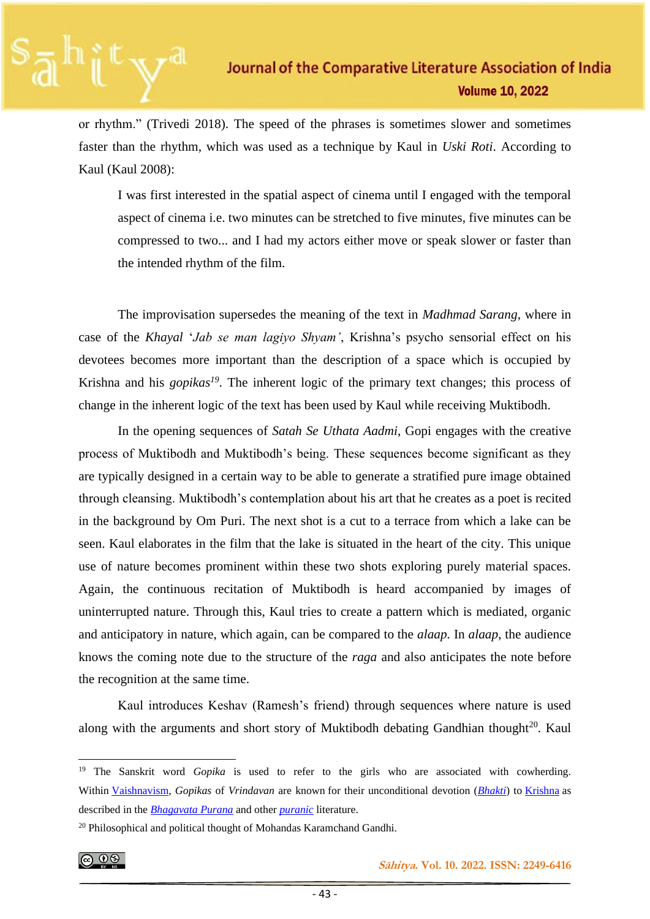or rhythm." (Trivedi 2018). The speed of the phrases is sometimes slower and sometimes faster than the rhythm, which was used as a technique by Kaul in *Uski Roti*. According to Kaul (Kaul 2008):

I was first interested in the spatial aspect of cinema until I engaged with the temporal aspect of cinema i.e. two minutes can be stretched to five minutes, five minutes can be compressed to two... and I had my actors either move or speak slower or faster than the intended rhythm of the film.

The improvisation supersedes the meaning of the text in *Madhmad Sarang*, where in case of the *Khayal* '*Jab se man lagiyo Shyam'*, Krishna's psycho sensorial effect on his devotees becomes more important than the description of a space which is occupied by Krishna and his *gopikas<sup>19</sup>*. The inherent logic of the primary text changes; this process of change in the inherent logic of the text has been used by Kaul while receiving Muktibodh.

In the opening sequences of *Satah Se Uthata Aadmi*, Gopi engages with the creative process of Muktibodh and Muktibodh's being. These sequences become significant as they are typically designed in a certain way to be able to generate a stratified pure image obtained through cleansing. Muktibodh's contemplation about his art that he creates as a poet is recited in the background by Om Puri. The next shot is a cut to a terrace from which a lake can be seen. Kaul elaborates in the film that the lake is situated in the heart of the city. This unique use of nature becomes prominent within these two shots exploring purely material spaces. Again, the continuous recitation of Muktibodh is heard accompanied by images of uninterrupted nature. Through this, Kaul tries to create a pattern which is mediated, organic and anticipatory in nature, which again, can be compared to the *alaap.* In *alaap*, the audience knows the coming note due to the structure of the *raga* and also anticipates the note before the recognition at the same time.

Kaul introduces Keshav (Ramesh's friend) through sequences where nature is used along with the arguments and short story of Muktibodh debating Gandhian thought<sup>20</sup>. Kaul

<sup>&</sup>lt;sup>20</sup> Philosophical and political thought of Mohandas Karamchand Gandhi.



 **Sāhitya. Vol. 10. 2022. ISSN: 2249-6416**

<sup>&</sup>lt;sup>19</sup> The Sanskrit word *Gopika* is used to refer to the girls who are associated with cowherding. Within [Vaishnavism,](https://en.wikipedia.org/wiki/Vaishnavism) *Gopikas* of *Vrindavan* are known for their unconditional devotion (*[Bhakti](https://en.wikipedia.org/wiki/Bhakti)*) to [Krishna](https://en.wikipedia.org/wiki/Krishna) as described in the *[Bhagavata Purana](https://en.wikipedia.org/wiki/Bhagavata_Purana)* and other *[puranic](https://en.wikipedia.org/wiki/Puranas)* literature.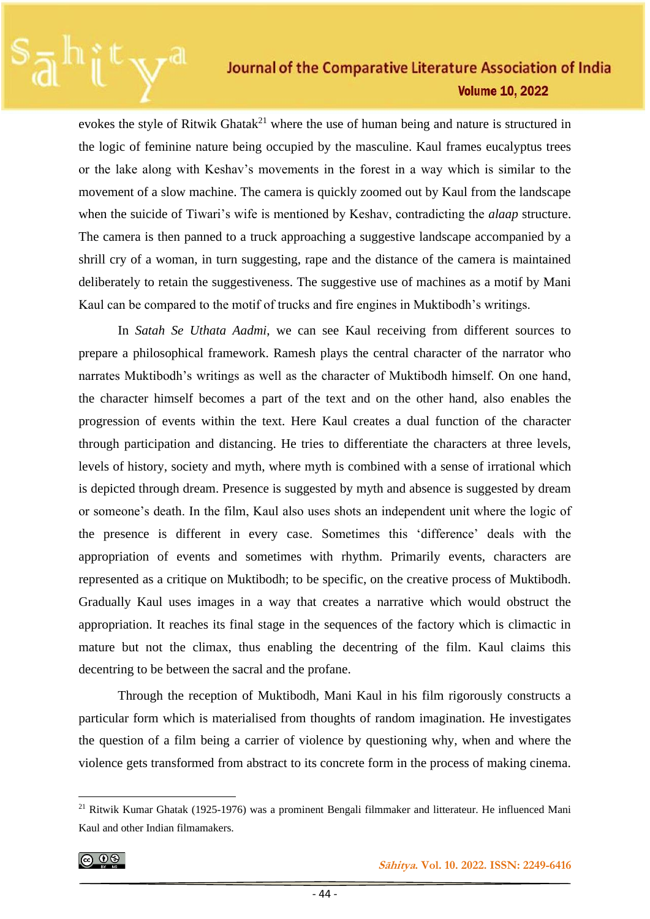evokes the style of Ritwik Ghatak<sup>21</sup> where the use of human being and nature is structured in the logic of feminine nature being occupied by the masculine. Kaul frames eucalyptus trees or the lake along with Keshav's movements in the forest in a way which is similar to the movement of a slow machine. The camera is quickly zoomed out by Kaul from the landscape when the suicide of Tiwari's wife is mentioned by Keshav, contradicting the *alaap* structure. The camera is then panned to a truck approaching a suggestive landscape accompanied by a shrill cry of a woman, in turn suggesting, rape and the distance of the camera is maintained deliberately to retain the suggestiveness. The suggestive use of machines as a motif by Mani Kaul can be compared to the motif of trucks and fire engines in Muktibodh's writings.

In *Satah Se Uthata Aadmi*, we can see Kaul receiving from different sources to prepare a philosophical framework. Ramesh plays the central character of the narrator who narrates Muktibodh's writings as well as the character of Muktibodh himself. On one hand, the character himself becomes a part of the text and on the other hand, also enables the progression of events within the text. Here Kaul creates a dual function of the character through participation and distancing. He tries to differentiate the characters at three levels, levels of history, society and myth, where myth is combined with a sense of irrational which is depicted through dream. Presence is suggested by myth and absence is suggested by dream or someone's death. In the film, Kaul also uses shots an independent unit where the logic of the presence is different in every case. Sometimes this 'difference' deals with the appropriation of events and sometimes with rhythm. Primarily events, characters are represented as a critique on Muktibodh; to be specific, on the creative process of Muktibodh. Gradually Kaul uses images in a way that creates a narrative which would obstruct the appropriation. It reaches its final stage in the sequences of the factory which is climactic in mature but not the climax, thus enabling the decentring of the film. Kaul claims this decentring to be between the sacral and the profane.

Through the reception of Muktibodh, Mani Kaul in his film rigorously constructs a particular form which is materialised from thoughts of random imagination. He investigates the question of a film being a carrier of violence by questioning why, when and where the violence gets transformed from abstract to its concrete form in the process of making cinema.

$$
\textcircled{\tiny{\textcircled{\tiny{1}}}}
$$

 **Sāhitya. Vol. 10. 2022. ISSN: 2249-6416**

**Volume 10, 2022** 

<sup>21</sup> Ritwik Kumar Ghatak (1925-1976) was a prominent Bengali filmmaker and litterateur. He influenced Mani Kaul and other Indian filmamakers.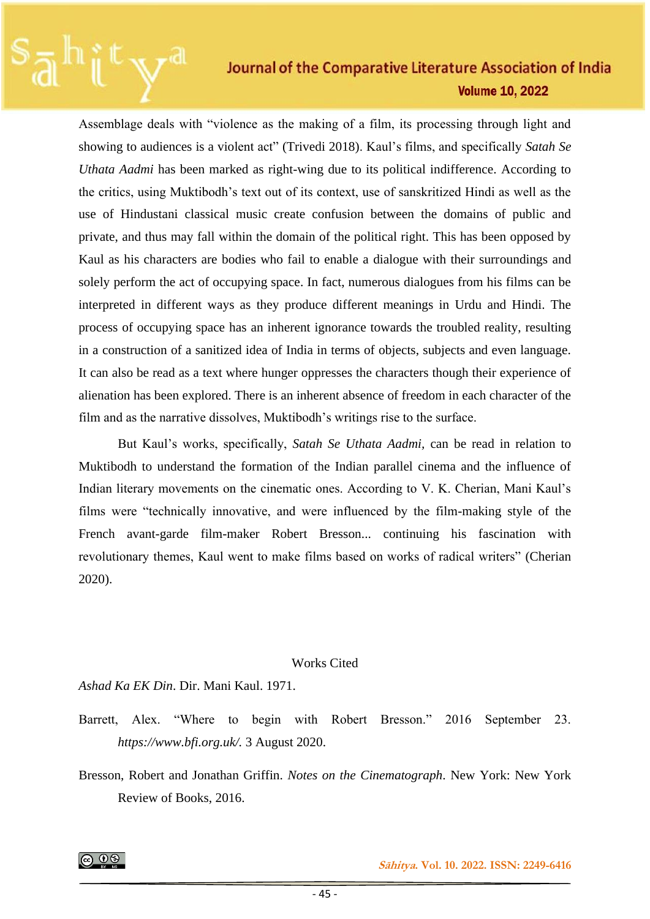Assemblage deals with "violence as the making of a film, its processing through light and showing to audiences is a violent act" (Trivedi 2018). Kaul's films, and specifically *Satah Se Uthata Aadmi* has been marked as right-wing due to its political indifference. According to the critics, using Muktibodh's text out of its context, use of sanskritized Hindi as well as the use of Hindustani classical music create confusion between the domains of public and private, and thus may fall within the domain of the political right. This has been opposed by Kaul as his characters are bodies who fail to enable a dialogue with their surroundings and solely perform the act of occupying space. In fact, numerous dialogues from his films can be interpreted in different ways as they produce different meanings in Urdu and Hindi. The process of occupying space has an inherent ignorance towards the troubled reality, resulting in a construction of a sanitized idea of India in terms of objects, subjects and even language. It can also be read as a text where hunger oppresses the characters though their experience of alienation has been explored. There is an inherent absence of freedom in each character of the film and as the narrative dissolves, Muktibodh's writings rise to the surface.

But Kaul's works, specifically, *Satah Se Uthata Aadmi,* can be read in relation to Muktibodh to understand the formation of the Indian parallel cinema and the influence of Indian literary movements on the cinematic ones. According to V. K. Cherian, Mani Kaul's films were "technically innovative, and were influenced by the film-making style of the French avant-garde film-maker Robert Bresson... continuing his fascination with revolutionary themes, Kaul went to make films based on works of radical writers" (Cherian 2020).

#### Works Cited

*Ashad Ka EK Din*. Dir. Mani Kaul. 1971.

- Barrett, Alex. "Where to begin with Robert Bresson." 2016 September 23. *https://www.bfi.org.uk/.* 3 August 2020.
- Bresson, Robert and Jonathan Griffin. *Notes on the Cinematograph*. New York: New York Review of Books, 2016.

@ ⊕⊗

 **Sāhitya. Vol. 10. 2022. ISSN: 2249-6416**